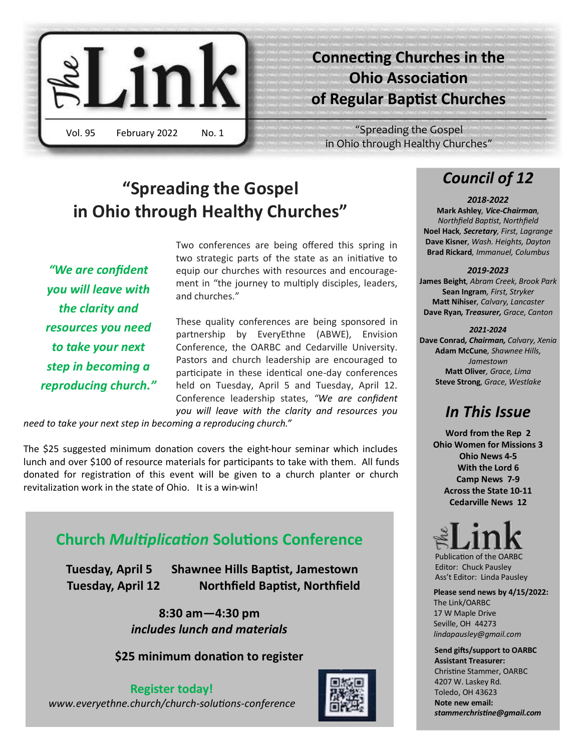

# **Connecting Churches in the Ohio Association of Regular Baptist Churches**

"Spreading the Gospel in Ohio through Healthy Churches"

# **"Spreading the Gospel in Ohio through Healthy Churches"**

*"We are confident you will leave with the clarity and resources you need to take your next step in becoming a reproducing church."*  Two conferences are being offered this spring in two strategic parts of the state as an initiative to equip our churches with resources and encouragement in "the journey to multiply disciples, leaders, and churches."

These quality conferences are being sponsored in partnership by EveryEthne (ABWE), Envision Conference, the OARBC and Cedarville University. Pastors and church leadership are encouraged to participate in these identical one-day conferences held on Tuesday, April 5 and Tuesday, April 12. Conference leadership states, *"We are confident you will leave with the clarity and resources you* 

*need to take your next step in becoming a reproducing church."* 

The \$25 suggested minimum donation covers the eight-hour seminar which includes lunch and over \$100 of resource materials for participants to take with them. All funds donated for registration of this event will be given to a church planter or church revitalization work in the state of Ohio. It is a win-win!

## **Church** *Multiplication* **Solutions Conference**

 **Tuesday, April 5 Shawnee Hills Baptist, Jamestown Tuesday, April 12 Northfield Baptist, Northfield**

> **8:30 am—4:30 pm** *includes lunch and materials*

**\$25 minimum donation to register**

### **Register today!**

*www.everyethne.church/church-solutions-conference*



# *Council of 12*

*2018-2022* **Mark Ashley***, Vice-Chairman, Northfield Baptist, Northfield* **Noel Hack***, Secretary, First, Lagrange* **Dave Kisner***, Wash. Heights, Dayton* **Brad Rickard***, Immanuel, Columbus*

### *2019-2023*

**James Beight***, Abram Creek, Brook Park* **Sean Ingram***, First, Stryker* **Matt Nihiser***, Calvary, Lancaster* **Dave Ryan***, Treasurer, Grace, Canton*

### *2021-2024*

**Dave Conrad***, Chairman, Calvary, Xenia* **Adam McCune***, Shawnee Hills, Jamestown* **Matt Oliver***, Grace, Lima* **Steve Strong***, Grace, Westlake*

### *In This Issue*

**Word from the Rep 2 Ohio Women for Missions 3 Ohio News 4-5 With the Lord 6 Camp News 7-9 Across the State 10-11 Cedarville News 12**

 Publication of the OARBC Editor: Chuck Pausley Ass't Editor: Linda Pausley

**Please send news by 4/15/2022:** The Link/OARBC 17 W Maple Drive Seville, OH 44273 *lindapausley@gmail.com*

 **Send gifts/support to OARBC Assistant Treasurer:** Christine Stammer, OARBC 4207 W. Laskey Rd. Toledo, OH 43623 **Note new email:** *stammerchristine@gmail.com*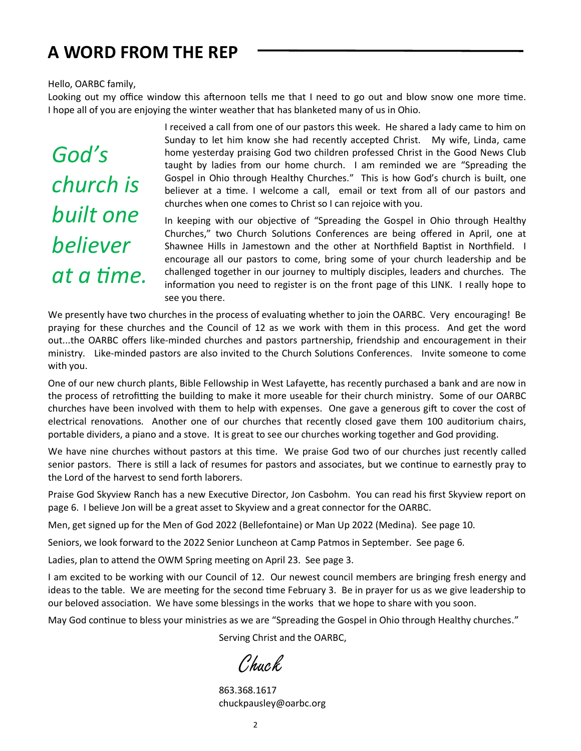# **A WORD FROM THE REP**

### Hello, OARBC family,

Looking out my office window this afternoon tells me that I need to go out and blow snow one more time. I hope all of you are enjoying the winter weather that has blanketed many of us in Ohio.

*God's church is built one believer at a time.*  I received a call from one of our pastors this week. He shared a lady came to him on Sunday to let him know she had recently accepted Christ. My wife, Linda, came home yesterday praising God two children professed Christ in the Good News Club taught by ladies from our home church. I am reminded we are "Spreading the Gospel in Ohio through Healthy Churches." This is how God's church is built, one believer at a time. I welcome a call, email or text from all of our pastors and churches when one comes to Christ so I can rejoice with you.

In keeping with our objective of "Spreading the Gospel in Ohio through Healthy Churches," two Church Solutions Conferences are being offered in April, one at Shawnee Hills in Jamestown and the other at Northfield Baptist in Northfield. I encourage all our pastors to come, bring some of your church leadership and be challenged together in our journey to multiply disciples, leaders and churches. The information you need to register is on the front page of this LINK. I really hope to see you there.

We presently have two churches in the process of evaluating whether to join the OARBC. Very encouraging! Be praying for these churches and the Council of 12 as we work with them in this process. And get the word out...the OARBC offers like-minded churches and pastors partnership, friendship and encouragement in their ministry. Like-minded pastors are also invited to the Church Solutions Conferences. Invite someone to come with you.

One of our new church plants, Bible Fellowship in West Lafayette, has recently purchased a bank and are now in the process of retrofitting the building to make it more useable for their church ministry. Some of our OARBC churches have been involved with them to help with expenses. One gave a generous gift to cover the cost of electrical renovations. Another one of our churches that recently closed gave them 100 auditorium chairs, portable dividers, a piano and a stove. It is great to see our churches working together and God providing.

We have nine churches without pastors at this time. We praise God two of our churches just recently called senior pastors. There is still a lack of resumes for pastors and associates, but we continue to earnestly pray to the Lord of the harvest to send forth laborers.

Praise God Skyview Ranch has a new Executive Director, Jon Casbohm. You can read his first Skyview report on page 6. I believe Jon will be a great asset to Skyview and a great connector for the OARBC.

Men, get signed up for the Men of God 2022 (Bellefontaine) or Man Up 2022 (Medina). See page 10.

Seniors, we look forward to the 2022 Senior Luncheon at Camp Patmos in September. See page 6.

Ladies, plan to attend the OWM Spring meeting on April 23. See page 3.

I am excited to be working with our Council of 12. Our newest council members are bringing fresh energy and ideas to the table. We are meeting for the second time February 3. Be in prayer for us as we give leadership to our beloved association. We have some blessings in the works that we hope to share with you soon.

May God continue to bless your ministries as we are "Spreading the Gospel in Ohio through Healthy churches."

Serving Christ and the OARBC,

Chuck,

 863.368.1617 chuckpausley@oarbc.org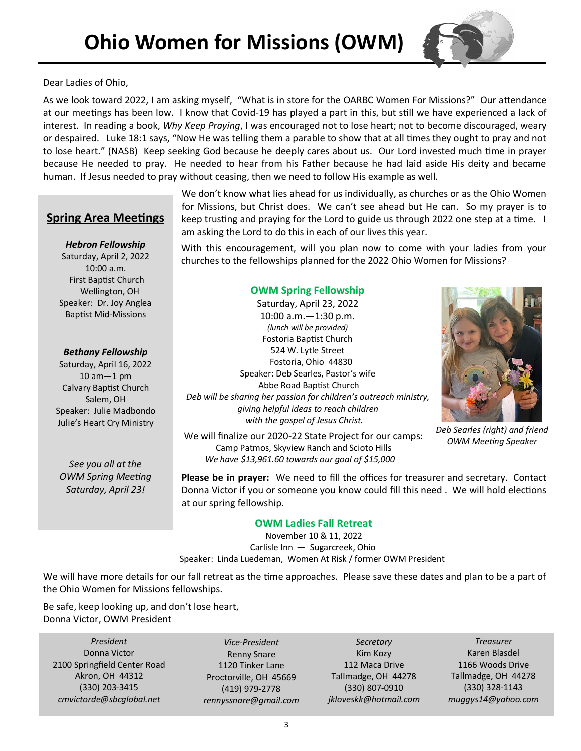

Dear Ladies of Ohio,

As we look toward 2022, I am asking myself, "What is in store for the OARBC Women For Missions?" Our attendance at our meetings has been low. I know that Covid-19 has played a part in this, but still we have experienced a lack of interest. In reading a book, *Why Keep Praying*, I was encouraged not to lose heart; not to become discouraged, weary or despaired. Luke 18:1 says, "Now He was telling them a parable to show that at all times they ought to pray and not to lose heart." (NASB) Keep seeking God because he deeply cares about us. Our Lord invested much time in prayer because He needed to pray. He needed to hear from his Father because he had laid aside His deity and became human. If Jesus needed to pray without ceasing, then we need to follow His example as well.

> We don't know what lies ahead for us individually, as churches or as the Ohio Women for Missions, but Christ does. We can't see ahead but He can. So my prayer is to keep trusting and praying for the Lord to guide us through 2022 one step at a time. I am asking the Lord to do this in each of our lives this year.

### **Spring Area Meetings**

*Hebron Fellowship* Saturday, April 2, 2022 10:00 a.m. First Baptist Church Wellington, OH Speaker: Dr. Joy Anglea Baptist Mid-Missions

### *Bethany Fellowship*

Saturday, April 16, 2022 10 am—1 pm Calvary Baptist Church Salem, OH Speaker: Julie Madbondo Julie's Heart Cry Ministry

*See you all at the OWM Spring Meeting Saturday, April 23!*

With this encouragement, will you plan now to come with your ladies from your churches to the fellowships planned for the 2022 Ohio Women for Missions?

### **OWM Spring Fellowship**

Saturday, April 23, 2022 10:00 a.m.—1:30 p.m. *(lunch will be provided)* Fostoria Baptist Church 524 W. Lytle Street Fostoria, Ohio 44830 Speaker: Deb Searles, Pastor's wife Abbe Road Baptist Church *Deb will be sharing her passion for children's outreach ministry, giving helpful ideas to reach children with the gospel of Jesus Christ.* 

We will finalize our 2020-22 State Project for our camps: Camp Patmos, Skyview Ranch and Scioto Hills *We have \$13,961.60 towards our goal of \$15,000*



*Deb Searles (right) and friend OWM Meeting Speaker*

**Please be in prayer:** We need to fill the offices for treasurer and secretary. Contact Donna Victor if you or someone you know could fill this need . We will hold elections at our spring fellowship.

### **OWM Ladies Fall Retreat**

 November 10 & 11, 2022 Carlisle Inn — Sugarcreek, Ohio Speaker: Linda Luedeman, Women At Risk / former OWM President

We will have more details for our fall retreat as the time approaches. Please save these dates and plan to be a part of the Ohio Women for Missions fellowships.

Be safe, keep looking up, and don't lose heart, Donna Victor, OWM President

*President* Donna Victor 2100 Springfield Center Road Akron, OH 44312 (330) 203-3415 *cmvictorde@sbcglobal.net*

*Vice-President* Renny Snare 1120 Tinker Lane Proctorville, OH 45669 (419) 979-2778 *rennyssnare@gmail.com*

*Secretary* Kim Kozy 112 Maca Drive Tallmadge, OH 44278 (330) 807-0910 *jkloveskk@hotmail.com*

*Treasurer* Karen Blasdel 1166 Woods Drive Tallmadge, OH 44278 (330) 328-1143 *muggys14@yahoo.com*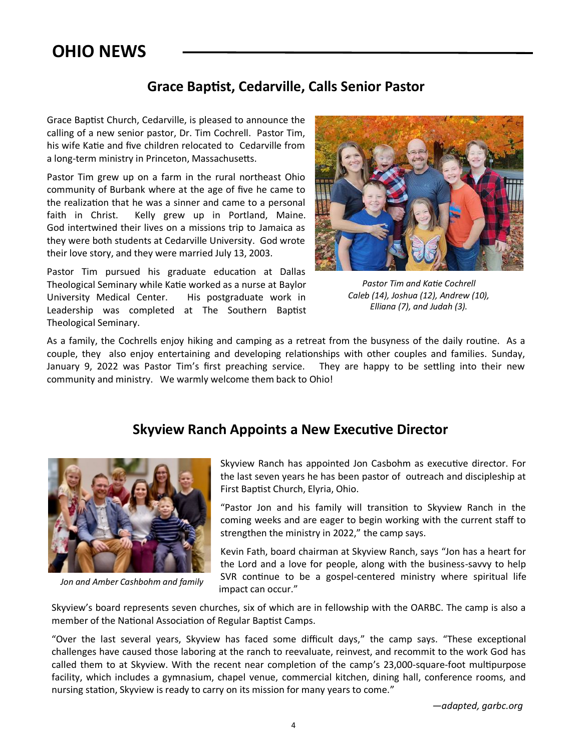# **OHIO NEWS**

### **Grace Baptist, Cedarville, Calls Senior Pastor**

Grace Baptist Church, Cedarville, is pleased to announce the calling of a new senior pastor, Dr. Tim Cochrell. Pastor Tim, his wife Katie and five children relocated to Cedarville from a long-term ministry in Princeton, Massachusetts.

Pastor Tim grew up on a farm in the rural northeast Ohio community of Burbank where at the age of five he came to the realization that he was a sinner and came to a personal faith in Christ. Kelly grew up in Portland, Maine. God intertwined their lives on a missions trip to Jamaica as they were both students at Cedarville University. God wrote their love story, and they were married July 13, 2003.

Pastor Tim pursued his graduate education at Dallas Theological Seminary while Katie worked as a nurse at Baylor University Medical Center. His postgraduate work in Leadership was completed at The Southern Baptist Theological Seminary.



*Pastor Tim and Katie Cochrell Caleb (14), Joshua (12), Andrew (10), Elliana (7), and Judah (3).* 

As a family, the Cochrells enjoy hiking and camping as a retreat from the busyness of the daily routine. As a couple, they also enjoy entertaining and developing relationships with other couples and families. Sunday, January 9, 2022 was Pastor Tim's first preaching service. They are happy to be settling into their new community and ministry. We warmly welcome them back to Ohio!

### **Skyview Ranch Appoints a New Executive Director**



*Jon and Amber Cashbohm and family*

Skyview Ranch has appointed Jon Casbohm as executive director. For the last seven years he has been pastor of outreach and discipleship at First Baptist Church, Elyria, Ohio.

"Pastor Jon and his family will transition to Skyview Ranch in the coming weeks and are eager to begin working with the current staff to strengthen the ministry in 2022," the camp says.

Kevin Fath, board chairman at Skyview Ranch, says "Jon has a heart for the Lord and a love for people, along with the business-savvy to help SVR continue to be a gospel-centered ministry where spiritual life impact can occur."

Skyview's board represents seven churches, six of which are in fellowship with the OARBC. The camp is also a member of the National Association of Regular Baptist Camps.

"Over the last several years, Skyview has faced some difficult days," the camp says. "These exceptional challenges have caused those laboring at the ranch to reevaluate, reinvest, and recommit to the work God has called them to at Skyview. With the recent near completion of the camp's 23,000-square-foot multipurpose facility, which includes a gymnasium, chapel venue, commercial kitchen, dining hall, conference rooms, and nursing station, Skyview is ready to carry on its mission for many years to come."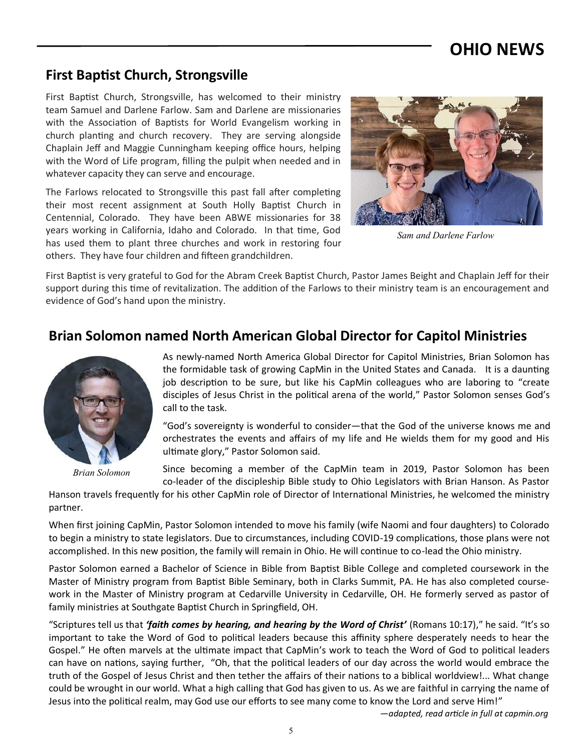### **First Baptist Church, Strongsville**

First Baptist Church, Strongsville, has welcomed to their ministry team Samuel and Darlene Farlow. Sam and Darlene are missionaries with the Association of Baptists for World Evangelism working in church planting and church recovery. They are serving alongside Chaplain Jeff and Maggie Cunningham keeping office hours, helping with the Word of Life program, filling the pulpit when needed and in whatever capacity they can serve and encourage.

The Farlows relocated to Strongsville this past fall after completing their most recent assignment at South Holly Baptist Church in Centennial, Colorado. They have been ABWE missionaries for 38 years working in California, Idaho and Colorado. In that time, God has used them to plant three churches and work in restoring four others. They have four children and fifteen grandchildren.



*Sam and Darlene Farlow*

First Baptist is very grateful to God for the Abram Creek Baptist Church, Pastor James Beight and Chaplain Jeff for their support during this time of revitalization. The addition of the Farlows to their ministry team is an encouragement and evidence of God's hand upon the ministry.

### **Brian Solomon named North American Global Director for Capitol Ministries**



*Brian Solomon*

As newly-named North America Global Director for Capitol Ministries, Brian Solomon has the formidable task of growing CapMin in the United States and Canada. It is a daunting job description to be sure, but like his CapMin colleagues who are laboring to "create disciples of Jesus Christ in the political arena of the world," Pastor Solomon senses God's call to the task.

"God's sovereignty is wonderful to consider—that the God of the universe knows me and orchestrates the events and affairs of my life and He wields them for my good and His ultimate glory," Pastor Solomon said.

Since becoming a member of the CapMin team in 2019, Pastor Solomon has been co-leader of the discipleship Bible study to Ohio Legislators with Brian Hanson. As Pastor

Hanson travels frequently for his other CapMin role of Director of International Ministries, he welcomed the ministry partner.

When first joining CapMin, Pastor Solomon intended to move his family (wife Naomi and four daughters) to Colorado to begin a ministry to state legislators. Due to circumstances, including COVID-19 complications, those plans were not accomplished. In this new position, the family will remain in Ohio. He will continue to co-lead the Ohio ministry.

Pastor Solomon earned a Bachelor of Science in Bible from Baptist Bible College and completed coursework in the Master of Ministry program from Baptist Bible Seminary, both in Clarks Summit, PA. He has also completed coursework in the Master of Ministry program at Cedarville University in Cedarville, OH. He formerly served as pastor of family ministries at Southgate Baptist Church in Springfield, OH.

"Scriptures tell us that *'faith comes by hearing, and hearing by the Word of Christ'* (Romans 10:17)," he said. "It's so important to take the Word of God to political leaders because this affinity sphere desperately needs to hear the Gospel." He often marvels at the ultimate impact that CapMin's work to teach the Word of God to political leaders can have on nations, saying further, "Oh, that the political leaders of our day across the world would embrace the truth of the Gospel of Jesus Christ and then tether the affairs of their nations to a biblical worldview!... What change could be wrought in our world. What a high calling that God has given to us. As we are faithful in carrying the name of Jesus into the political realm, may God use our efforts to see many come to know the Lord and serve Him!"

 *—adapted, read article in full at capmin.org*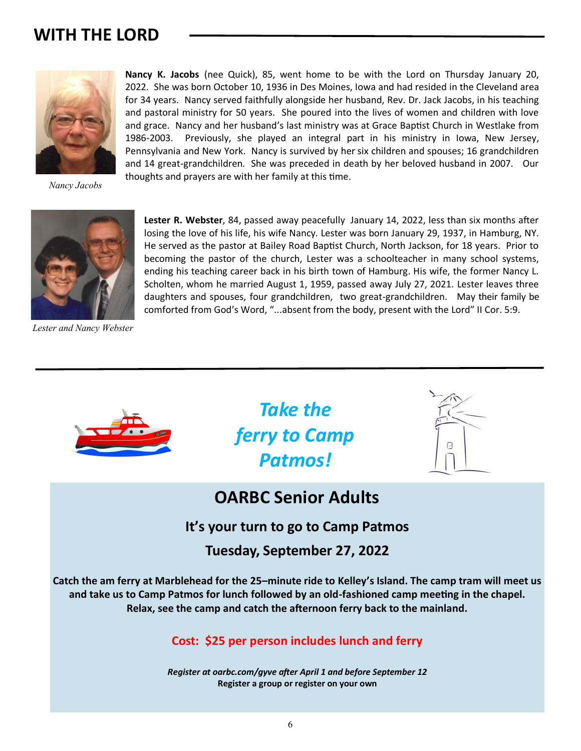# **WITH THE LORD**



*Nancy Jacobs*



*Lester and Nancy Webster*

**Nancy K. Jacobs** (nee Quick), 85, went home to be with the Lord on Thursday January 20, 2022. She was born October 10, 1936 in Des Moines, Iowa and had resided in the Cleveland area for 34 years. Nancy served faithfully alongside her husband, Rev. Dr. Jack Jacobs, in his teaching and pastoral ministry for 50 years. She poured into the lives of women and children with love and grace. Nancy and her husband's last ministry was at Grace Baptist Church in Westlake from 1986-2003. Previously, she played an integral part in his ministry in Iowa, New Jersey, Pennsylvania and New York. Nancy is survived by her six children and spouses; 16 grandchildren and 14 great-grandchildren. She was preceded in death by her beloved husband in 2007. Our thoughts and prayers are with her family at this time.

**Lester R. Webster**, 84, passed away peacefully January 14, 2022, less than six months after losing the love of his life, his wife Nancy. Lester was born January 29, 1937, in Hamburg, NY. He served as the pastor at Bailey Road Baptist Church, North Jackson, for 18 years. Prior to becoming the pastor of the church, Lester was a schoolteacher in many school systems, ending his teaching career back in his birth town of Hamburg. His wife, the former Nancy L. Scholten, whom he married August 1, 1959, passed away July 27, 2021. Lester leaves three daughters and spouses, four grandchildren, two great-grandchildren. May their family be comforted from God's Word, "...absent from the body, present with the Lord" II Cor. 5:9.



*Take the ferry to Camp Patmos!* 



# **OARBC Senior Adults**

**It's your turn to go to Camp Patmos**

**Tuesday, September 27, 2022**

**Catch the am ferry at Marblehead for the 25–minute ride to Kelley's Island. The camp tram will meet us and take us to Camp Patmos for lunch followed by an old-fashioned camp meeting in the chapel. Relax, see the camp and catch the afternoon ferry back to the mainland.** 

### **Cost: \$25 per person includes lunch and ferry**

*Register at oarbc.com/gyve after April 1 and before September 12* **Register a group or register on your own**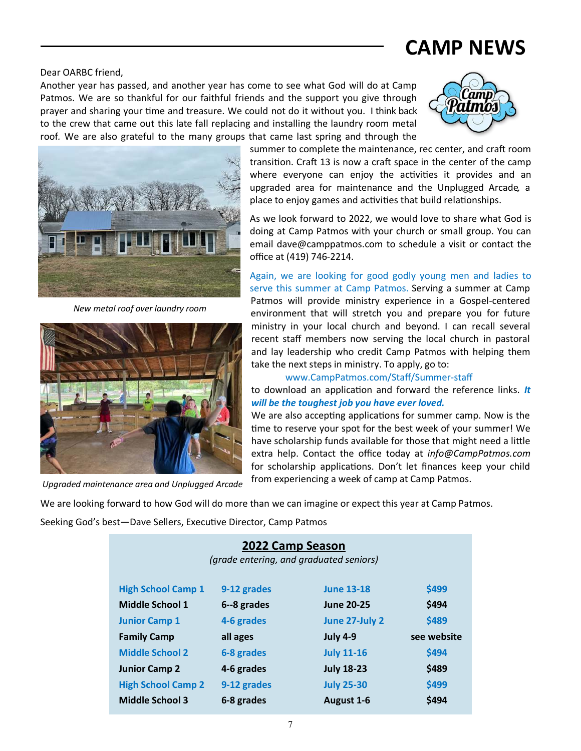### Dear OARBC friend,

Another year has passed, and another year has come to see what God will do at Camp Patmos. We are so thankful for our faithful friends and the support you give through prayer and sharing your time and treasure. We could not do it without you. I think back to the crew that came out this late fall replacing and installing the laundry room metal roof*.* We are also grateful to the many groups that came last spring and through the



**CAMP NEWS**



*New metal roof over laundry room*



*Upgraded maintenance area and Unplugged Arcade*

summer to complete the maintenance, rec center, and craft room transition. Craft 13 is now a craft space in the center of the camp where everyone can enjoy the activities it provides and an upgraded area for maintenance and the Unplugged Arcade*,* a place to enjoy games and activities that build relationships.

As we look forward to 2022, we would love to share what God is doing at Camp Patmos with your church or small group. You can email dave@camppatmos.com to schedule a visit or contact the office at (419) 746-2214.

Again, we are looking for good godly young men and ladies to serve this summer at Camp Patmos. Serving a summer at Camp Patmos will provide ministry experience in a Gospel-centered environment that will stretch you and prepare you for future ministry in your local church and beyond. I can recall several recent staff members now serving the local church in pastoral and lay leadership who credit Camp Patmos with helping them take the next steps in ministry. To apply, go to:

### www.CampPatmos.com/Staff/Summer-staff

to download an application and forward the reference links. *It will be the toughest job you have ever loved.* 

We are also accepting applications for summer camp. Now is the time to reserve your spot for the best week of your summer! We have scholarship funds available for those that might need a little extra help. Contact the office today at *info@CampPatmos.com*  for scholarship applications. Don't let finances keep your child from experiencing a week of camp at Camp Patmos.

We are looking forward to how God will do more than we can imagine or expect this year at Camp Patmos.

Seeking God's best—Dave Sellers, Executive Director, Camp Patmos

### **2022 Camp Season**

*(grade entering, and graduated seniors)*

| <b>High School Camp 1</b> | 9-12 grades | <b>June 13-18</b> | \$499       |
|---------------------------|-------------|-------------------|-------------|
| <b>Middle School 1</b>    | 6--8 grades | <b>June 20-25</b> | \$494       |
| <b>Junior Camp 1</b>      | 4-6 grades  | June 27-July 2    | \$489       |
| <b>Family Camp</b>        | all ages    | <b>July 4-9</b>   | see website |
| <b>Middle School 2</b>    | 6-8 grades  | <b>July 11-16</b> | \$494       |
| <b>Junior Camp 2</b>      | 4-6 grades  | <b>July 18-23</b> | \$489       |
| <b>High School Camp 2</b> | 9-12 grades | <b>July 25-30</b> | \$499       |
| <b>Middle School 3</b>    | 6-8 grades  | August 1-6        | \$494       |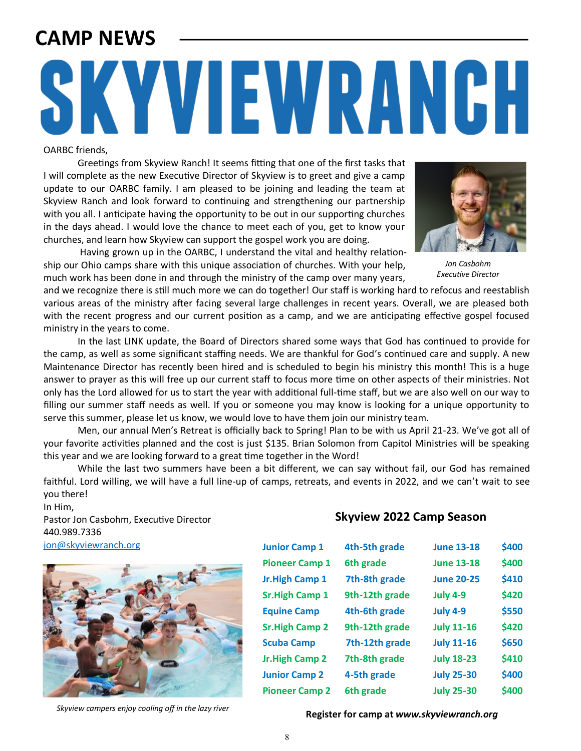# **CAMP NEWS**

# SKYVIEWRANGH

### OARBC friends,

Greetings from Skyview Ranch! It seems fitting that one of the first tasks that I will complete as the new Executive Director of Skyview is to greet and give a camp update to our OARBC family. I am pleased to be joining and leading the team at Skyview Ranch and look forward to continuing and strengthening our partnership with you all. I anticipate having the opportunity to be out in our supporting churches in the days ahead. I would love the chance to meet each of you, get to know your churches, and learn how Skyview can support the gospel work you are doing.

 Having grown up in the OARBC, I understand the vital and healthy relationship our Ohio camps share with this unique association of churches. With your help, much work has been done in and through the ministry of the camp over many years,

and we recognize there is still much more we can do together! Our staff is working hard to refocus and reestablish various areas of the ministry after facing several large challenges in recent years. Overall, we are pleased both with the recent progress and our current position as a camp, and we are anticipating effective gospel focused ministry in the years to come.

In the last LINK update, the Board of Directors shared some ways that God has continued to provide for the camp, as well as some significant staffing needs. We are thankful for God's continued care and supply. A new Maintenance Director has recently been hired and is scheduled to begin his ministry this month! This is a huge answer to prayer as this will free up our current staff to focus more time on other aspects of their ministries. Not only has the Lord allowed for us to start the year with additional full-time staff, but we are also well on our way to filling our summer staff needs as well. If you or someone you may know is looking for a unique opportunity to serve this summer, please let us know, we would love to have them join our ministry team.

Men, our annual Men's Retreat is officially back to Spring! Plan to be with us April 21-23. We've got all of your favorite activities planned and the cost is just \$135. Brian Solomon from Capitol Ministries will be speaking this year and we are looking forward to a great time together in the Word!

While the last two summers have been a bit different, we can say without fail, our God has remained faithful. Lord willing, we will have a full line-up of camps, retreats, and events in 2022, and we can't wait to see you there!

In Him, Pastor Jon Casbohm, Executive Director 440.989.7336 [jon@skyviewranch.org](mailto:jon@skyviewranch.org)



### **Skyview 2022 Camp Season**

| <b>Junior Camp 1</b>  | 4th-5th grade  | <b>June 13-18</b> | \$400 |
|-----------------------|----------------|-------------------|-------|
| <b>Pioneer Camp 1</b> | 6th grade      | <b>June 13-18</b> | \$400 |
| <b>Jr.High Camp 1</b> | 7th-8th grade  | <b>June 20-25</b> | \$410 |
| <b>Sr.High Camp 1</b> | 9th-12th grade | <b>July 4-9</b>   | \$420 |
| <b>Equine Camp</b>    | 4th-6th grade  | <b>July 4-9</b>   | \$550 |
| <b>Sr.High Camp 2</b> | 9th-12th grade | <b>July 11-16</b> | \$420 |
| <b>Scuba Camp</b>     | 7th-12th grade | <b>July 11-16</b> | \$650 |
| Jr.High Camp 2        | 7th-8th grade  | <b>July 18-23</b> | \$410 |
| <b>Junior Camp 2</b>  | 4-5th grade    | <b>July 25-30</b> | \$400 |
| <b>Pioneer Camp 2</b> | 6th grade      | <b>July 25-30</b> | \$400 |



*Jon Casbohm Executive Director*

**Register for campers enjoy cooling off in the lazy river Skyview** *Skyview camp* **at** *www.skyviewranch.org*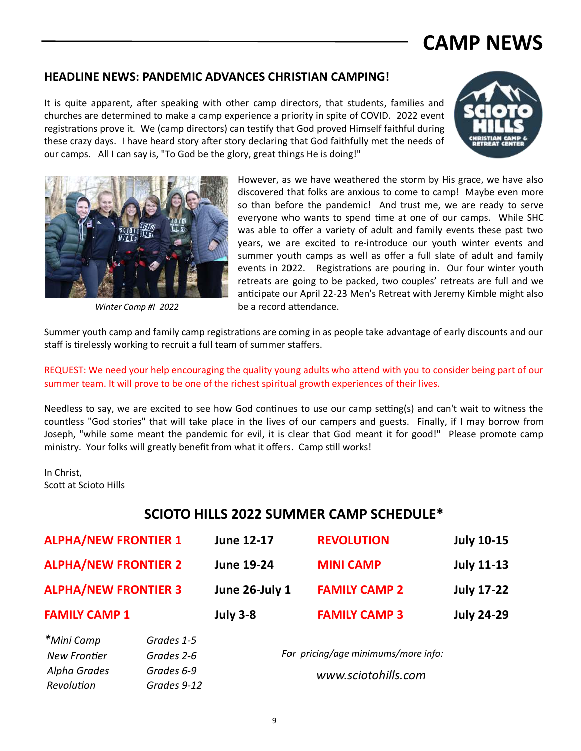# **CAMP NEWS**

### **HEADLINE NEWS: PANDEMIC ADVANCES CHRISTIAN CAMPING!**

It is quite apparent, after speaking with other camp directors, that students, families and churches are determined to make a camp experience a priority in spite of COVID. 2022 event registrations prove it. We (camp directors) can testify that God proved Himself faithful during these crazy days. I have heard story after story declaring that God faithfully met the needs of our camps. All I can say is, "To God be the glory, great things He is doing!"





*Winter Camp #I 2022*

However, as we have weathered the storm by His grace, we have also discovered that folks are anxious to come to camp! Maybe even more so than before the pandemic! And trust me, we are ready to serve everyone who wants to spend time at one of our camps. While SHC was able to offer a variety of adult and family events these past two years, we are excited to re-introduce our youth winter events and summer youth camps as well as offer a full slate of adult and family events in 2022. Registrations are pouring in. Our four winter youth retreats are going to be packed, two couples' retreats are full and we anticipate our April 22-23 Men's Retreat with Jeremy Kimble might also be a record attendance.

Summer youth camp and family camp registrations are coming in as people take advantage of early discounts and our staff is tirelessly working to recruit a full team of summer staffers.

REQUEST: We need your help encouraging the quality young adults who attend with you to consider being part of our summer team. It will prove to be one of the richest spiritual growth experiences of their lives.

Needless to say, we are excited to see how God continues to use our camp setting(s) and can't wait to witness the countless "God stories" that will take place in the lives of our campers and guests. Finally, if I may borrow from Joseph, "while some meant the pandemic for evil, it is clear that God meant it for good!" Please promote camp ministry. Your folks will greatly benefit from what it offers. Camp still works!

In Christ, Scott at Scioto Hills

### **SCIOTO HILLS 2022 SUMMER CAMP SCHEDULE\***

| <b>ALPHA/NEW FRONTIER 1</b>                                |             | June 12-17                                                 | <b>REVOLUTION</b>    | <b>July 10-15</b> |
|------------------------------------------------------------|-------------|------------------------------------------------------------|----------------------|-------------------|
| <b>ALPHA/NEW FRONTIER 2</b><br><b>ALPHA/NEW FRONTIER 3</b> |             | <b>June 19-24</b>                                          | <b>MINI CAMP</b>     | <b>July 11-13</b> |
|                                                            |             | June 26-July 1                                             | <b>FAMILY CAMP 2</b> | <b>July 17-22</b> |
| <b>FAMILY CAMP 1</b>                                       |             | <b>July 3-8</b>                                            | <b>FAMILY CAMP 3</b> | <b>July 24-29</b> |
| *Mini Camp                                                 | Grades 1-5  |                                                            |                      |                   |
| <b>New Frontier</b>                                        | Grades 2-6  | For pricing/age minimums/more info:<br>www.sciotohills.com |                      |                   |
| Alpha Grades                                               | Grades 6-9  |                                                            |                      |                   |
| Revolution                                                 | Grades 9-12 |                                                            |                      |                   |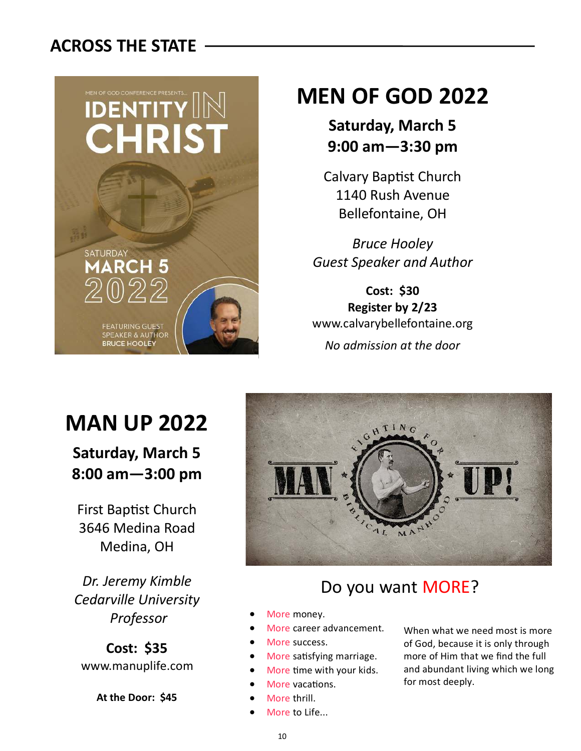# **ACROSS THE STATE**



j

# **MEN OF GOD 2022**

# **Saturday, March 5 9:00 am—3:30 pm**

Calvary Baptist Church 1140 Rush Avenue Bellefontaine, OH

*Bruce Hooley Guest Speaker and Author*

**Cost: \$30 Register by 2/23** www.calvarybellefontaine.org *No admission at the door*

# **MAN UP 2022**

**Saturday, March 5 8:00 am—3:00 pm**

First Baptist Church 3646 Medina Road Medina, OH

*Dr. Jeremy Kimble Cedarville University Professor*

**Cost: \$35** www.manuplife.com

**At the Door: \$45**



# Do you want MORE?

- More money.
- More career advancement.
- More success.
- More satisfying marriage.
- More time with your kids.
- More vacations.
- More thrill.
- More to Life...

When what we need most is more of God, because it is only through more of Him that we find the full and abundant living which we long for most deeply.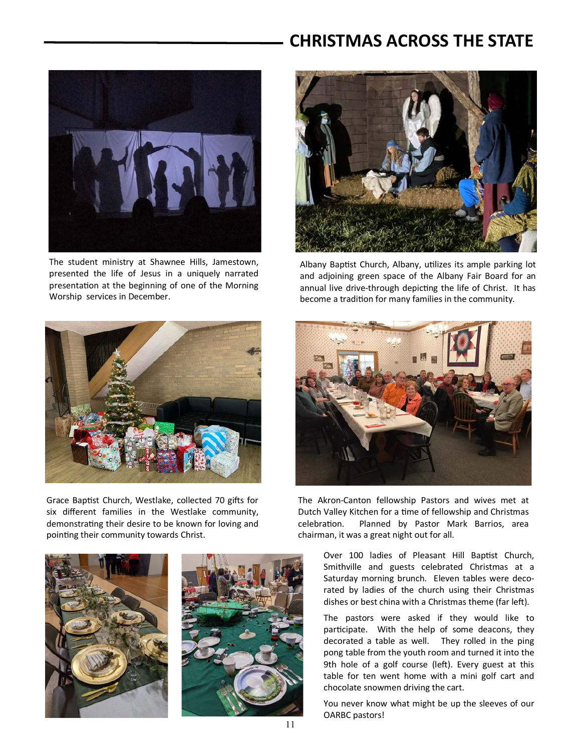# **CHRISTMAS ACROSS THE STATE**



The student ministry at Shawnee Hills, Jamestown, presented the life of Jesus in a uniquely narrated presentation at the beginning of one of the Morning Worship services in December.



Albany Baptist Church, Albany, utilizes its ample parking lot and adjoining green space of the Albany Fair Board for an annual live drive-through depicting the life of Christ. It has become a tradition for many families in the community.



Grace Baptist Church, Westlake, collected 70 gifts for six different families in the Westlake community, demonstrating their desire to be known for loving and pointing their community towards Christ.







The Akron-Canton fellowship Pastors and wives met at Dutch Valley Kitchen for a time of fellowship and Christmas celebration. Planned by Pastor Mark Barrios, area chairman, it was a great night out for all.

> Over 100 ladies of Pleasant Hill Baptist Church, Smithville and guests celebrated Christmas at a Saturday morning brunch. Eleven tables were decorated by ladies of the church using their Christmas dishes or best china with a Christmas theme (far left).

> The pastors were asked if they would like to participate. With the help of some deacons, they decorated a table as well. They rolled in the ping pong table from the youth room and turned it into the 9th hole of a golf course (left). Every guest at this table for ten went home with a mini golf cart and chocolate snowmen driving the cart.

> You never know what might be up the sleeves of our OARBC pastors!